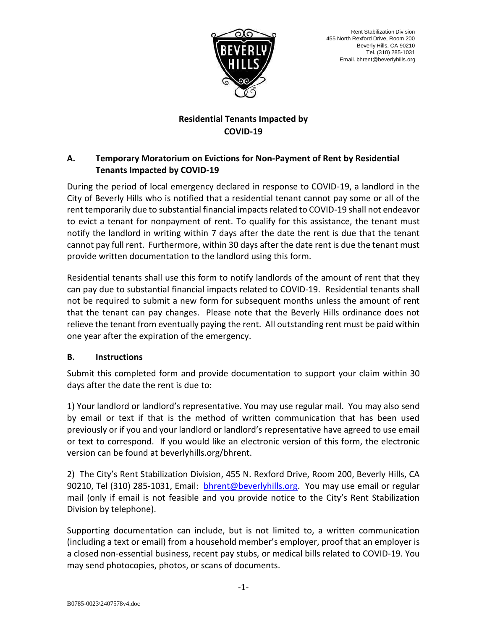

# **Residential Tenants Impacted by COVID-19**

# **A. Temporary Moratorium on Evictions for Non-Payment of Rent by Residential Tenants Impacted by COVID-19**

During the period of local emergency declared in response to COVID-19, a landlord in the City of Beverly Hills who is notified that a residential tenant cannot pay some or all of the rent temporarily due to substantial financial impacts related to COVID-19 shall not endeavor to evict a tenant for nonpayment of rent. To qualify for this assistance, the tenant must notify the landlord in writing within 7 days after the date the rent is due that the tenant cannot pay full rent. Furthermore, within 30 days after the date rent is due the tenant must provide written documentation to the landlord using this form.

Residential tenants shall use this form to notify landlords of the amount of rent that they can pay due to substantial financial impacts related to COVID-19. Residential tenants shall not be required to submit a new form for subsequent months unless the amount of rent that the tenant can pay changes. Please note that the Beverly Hills ordinance does not relieve the tenant from eventually paying the rent. All outstanding rent must be paid within one year after the expiration of the emergency.

# **B. Instructions**

Submit this completed form and provide documentation to support your claim within 30 days after the date the rent is due to:

1) Your landlord or landlord's representative. You may use regular mail. You may also send by email or text if that is the method of written communication that has been used previously or if you and your landlord or landlord's representative have agreed to use email or text to correspond. If you would like an electronic version of this form, the electronic version can be found at beverlyhills.org/bhrent.

2) The City's Rent Stabilization Division, 455 N. Rexford Drive, Room 200, Beverly Hills, CA 90210, Tel (310) 285-1031, Email: [bhrent@beverlyhills.org.](mailto:bhrent@beverlyhills.org) You may use email or regular mail (only if email is not feasible and you provide notice to the City's Rent Stabilization Division by telephone).

Supporting documentation can include, but is not limited to, a written communication (including a text or email) from a household member's employer, proof that an employer is a closed non-essential business, recent pay stubs, or medical bills related to COVID-19. You may send photocopies, photos, or scans of documents.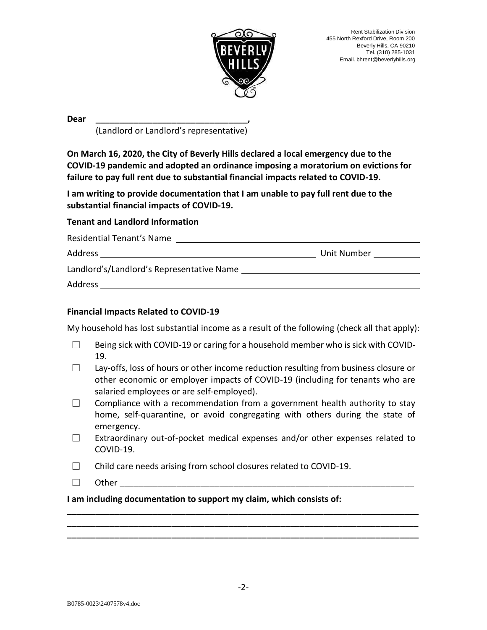

**Dear \_\_\_\_\_\_\_\_\_\_\_\_\_\_\_\_\_\_\_\_\_\_\_\_\_\_\_\_\_\_\_\_,**

(Landlord or Landlord's representative)

**On March 16, 2020, the City of Beverly Hills declared a local emergency due to the COVID-19 pandemic and adopted an ordinance imposing a moratorium on evictions for failure to pay full rent due to substantial financial impacts related to COVID-19.**

**I am writing to provide documentation that I am unable to pay full rent due to the substantial financial impacts of COVID-19.**

## **Tenant and Landlord Information**

| Residential Tenant's Name                 |             |
|-------------------------------------------|-------------|
| Address                                   | Unit Number |
| Landlord's/Landlord's Representative Name |             |
| Address                                   |             |
|                                           |             |

### **Financial Impacts Related to COVID-19**

My household has lost substantial income as a result of the following (check all that apply):

- $\Box$  Being sick with COVID-19 or caring for a household member who is sick with COVID-19.
- ☐ Lay-offs, loss of hours or other income reduction resulting from business closure or other economic or employer impacts of COVID-19 (including for tenants who are salaried employees or are self-employed).
- $\Box$  Compliance with a recommendation from a government health authority to stay home, self-quarantine, or avoid congregating with others during the state of emergency.
- $\Box$  Extraordinary out-of-pocket medical expenses and/or other expenses related to COVID-19.

**\_\_\_\_\_\_\_\_\_\_\_\_\_\_\_\_\_\_\_\_\_\_\_\_\_\_\_\_\_\_\_\_\_\_\_\_\_\_\_\_\_\_\_\_\_\_\_\_\_\_\_\_\_\_\_\_\_\_\_\_\_\_\_\_\_\_\_\_\_\_\_\_\_\_ \_\_\_\_\_\_\_\_\_\_\_\_\_\_\_\_\_\_\_\_\_\_\_\_\_\_\_\_\_\_\_\_\_\_\_\_\_\_\_\_\_\_\_\_\_\_\_\_\_\_\_\_\_\_\_\_\_\_\_\_\_\_\_\_\_\_\_\_\_\_\_\_\_\_ \_\_\_\_\_\_\_\_\_\_\_\_\_\_\_\_\_\_\_\_\_\_\_\_\_\_\_\_\_\_\_\_\_\_\_\_\_\_\_\_\_\_\_\_\_\_\_\_\_\_\_\_\_\_\_\_\_\_\_\_\_\_\_\_\_\_\_\_\_\_\_\_\_\_** 

- ☐ Child care needs arising from school closures related to COVID-19.
- $\Box$  Other  $\Box$

**I am including documentation to support my claim, which consists of:**